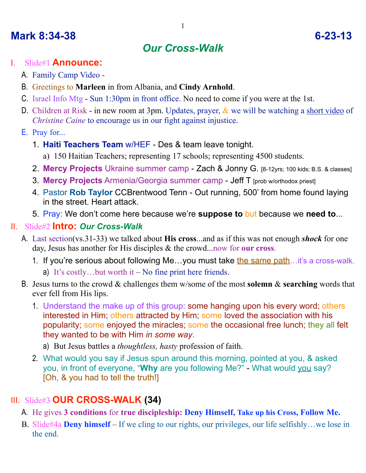# **Mark 8:34-38 6-23-13**

# *Our Cross-Walk*

#### I. Slide#1 **Announce:**

- A. Family Camp Video -
- B. Greetings to **Marleen** in from Albania, and **Cindy Arnhold**.
- C. Israel Info Mtg Sun 1:30pm in front office. No need to come if you were at the 1st.
- D. Children at Risk in new room at 3pm. Updates, prayer,  $\&$  we will be watching a short video of *Christine Caine* to encourage us in our fight against injustice.
- E. Pray for...
	- 1. **Haiti Teachers Team** w/HEF Des & team leave tonight.
		- a) 150 Haitian Teachers; representing 17 schools; representing 4500 students.
	- 2. **Mercy Projects** Ukraine summer camp Zach & Jonny G. [8-12yrs; 100 kids; B.S. & classes]
	- 3. **Mercy Projects** Armenia/Georgia summer camp Jeff T [prob w/orthodox priest]
	- 4. Pastor **Rob Taylor** CCBrentwood Tenn Out running, 500' from home found laying in the street. Heart attack.
	- 5. Pray: We don't come here because we're **suppose to** but because we **need to**...

#### II. Slide#2 **Intro:** *Our Cross-Walk*

- A. Last section(vs.31-33) we talked about **His cross**...and as if this was not enough *shock* for one day, Jesus has another for His disciples & the crowd...now for **our cross**.
	- 1. If you're serious about following Me...you must take the same path...it's a cross-walk. a) It's costly…but worth it – No fine print here friends.
- B. Jesus turns to the crowd & challenges them w/some of the most **solemn** & **searching** words that ever fell from His lips.
	- 1. Understand the make up of this group: some hanging upon his every word; others interested in Him; others attracted by Him; some loved the association with his popularity; some enjoyed the miracles; some the occasional free lunch; they all felt they wanted to be with Him *in some way*.
		- a) But Jesus battles a *thoughtless, hasty* profession of faith.
	- 2. What would you say if Jesus spun around this morning, pointed at you, & asked you, in front of everyone, "**Why** are you following Me?" - What would you say? [Oh, & you had to tell the truth!]

## III. Slide#3 **OUR CROSS-WALK (34)**

- A. He gives **3 conditions** for **true discipleship: Deny Himself, Take up his Cross, Follow Me.**
- B. Slide#4a **Deny himself** If we cling to our rights, our privileges, our life selfishly…we lose in the end.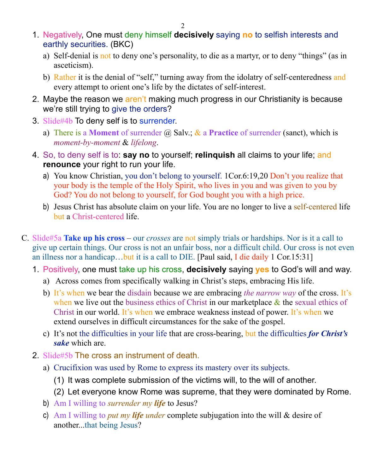- 1. Negatively, One must deny himself **decisively** saying **no** to selfish interests and earthly securities. (BKC)
	- a) Self-denial is not to deny one's personality, to die as a martyr, or to deny "things" (as in asceticism).
	- b) Rather it is the denial of "self," turning away from the idolatry of self-centeredness and every attempt to orient one's life by the dictates of self-interest.
- 2. Maybe the reason we aren't making much progress in our Christianity is because we're still trying to give the orders?
- 3. Slide#4b To deny self is to surrender.
	- a) There is a **Moment** of surrender @ Salv.; & a **Practice** of surrender (sanct), which is *moment-by-moment* & *lifelong*.
- 4. So, to deny self is to: **say no** to yourself; **relinquish** all claims to your life; and **renounce** your right to run your life.
	- a) You know Christian, you don't belong to yourself. 1Cor.6:19,20 Don't you realize that your body is the temple of the Holy Spirit, who lives in you and was given to you by God? You do not belong to yourself, for God bought you with a high price.
	- b) Jesus Christ has absolute claim on your life. You are no longer to live a self-centered life but a Christ-centered life.
- C. Slide#5a **Take up his cross** our *crosses* are not simply trials or hardships. Nor is it a call to give up certain things. Our cross is not an unfair boss, nor a difficult child. Our cross is not even an illness nor a handicap…but it is a call to DIE. [Paul said, I die daily 1 Cor.15:31]
	- 1. Positively, one must take up his cross, **decisively** saying **yes** to God's will and way.
		- a) Across comes from specifically walking in Christ's steps, embracing His life.
		- b) It's when we bear the disdain because we are embracing *the narrow way* of the cross. It's when we live out the business ethics of Christ in our marketplace  $\&$  the sexual ethics of Christ in our world. It's when we embrace weakness instead of power. It's when we extend ourselves in difficult circumstances for the sake of the gospel.
		- c) It's not the difficulties in your life that are cross-bearing, but the difficulties *for Christ's sake* which are.
	- 2. Slide#5b The cross an instrument of death.
		- a) Crucifixion was used by Rome to express its mastery over its subjects.
			- (1) It was complete submission of the victims will, to the will of another.
			- (2) Let everyone know Rome was supreme, that they were dominated by Rome.
		- b) Am I willing to *surrender my life* to Jesus?
		- c) Am I willing to *put my life under* complete subjugation into the will & desire of another...that being Jesus?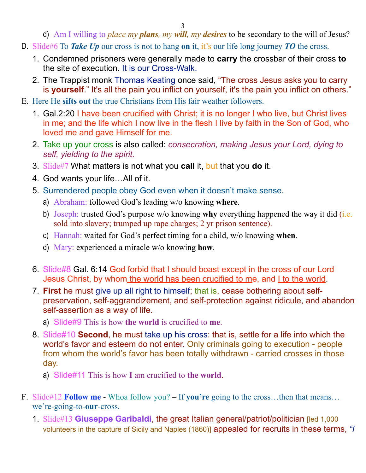3

d) Am I willing to *place my plans, my will, my desires* to be secondary to the will of Jesus?

- D. Slide#6 To *Take Up* our cross is not to hang **on** it, it's our life long journey *TO* the cross.
	- 1. Condemned prisoners were generally made to **carry** the crossbar of their cross **to** the site of execution. It is our Cross-Walk.
	- 2. The Trappist monk Thomas Keating once said, "The cross Jesus asks you to carry is yourself." It's all the pain you inflict on yourself, it's the pain you inflict on others."
- E. Here He **sifts out** the true Christians from His fair weather followers.
	- 1. Gal.2:20 I have been crucified with Christ; it is no longer I who live, but Christ lives in me; and the life which I now live in the flesh I live by faith in the Son of God, who loved me and gave Himself for me.
	- 2. Take up your cross is also called: *consecration, making Jesus your Lord, dying to self, yielding to the spirit.*
	- 3. Slide#7 What matters is not what you **call** it, but that you **do** it.
	- 4. God wants your life…All of it.
	- 5. Surrendered people obey God even when it doesn't make sense.
		- a) Abraham: followed God's leading w/o knowing **where**.
		- b) Joseph: trusted God's purpose w/o knowing **why** everything happened the way it did (i.e. sold into slavery; trumped up rape charges; 2 yr prison sentence).
		- c) Hannah: waited for God's perfect timing for a child, w/o knowing **when**.
		- d) Mary: experienced a miracle w/o knowing **how**.
	- 6. Slide#8 Gal. 6:14 God forbid that I should boast except in the cross of our Lord Jesus Christ, by whom the world has been crucified to me, and I to the world.
	- 7. **First** he must give up all right to himself; that is, cease bothering about selfpreservation, self-aggrandizement, and self-protection against ridicule, and abandon self-assertion as a way of life.
		- a) Slide#9 This is how **the world** is crucified to **me**.
	- 8. Slide#10 **Second**, he must take up his cross: that is, settle for a life into which the world's favor and esteem do not enter. Only criminals going to execution - people from whom the world's favor has been totally withdrawn - carried crosses in those day.
		- a) Slide#11 This is how **I** am crucified to **the world**.
- F. Slide#12 **Follow me** Whoa follow you? If **you're** going to the cross…then that means… we're-going-to-**our**-cross.
	- 1. Slide#13 **Giuseppe Garibaldi**, the great Italian general/patriot/politician [led 1,000 volunteers in the capture of Sicily and Naples (1860)] appealed for recruits in these terms, *"I*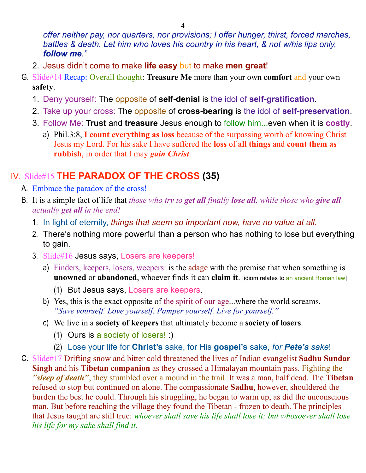4

*offer neither pay, nor quarters, nor provisions; I offer hunger, thirst, forced marches, battles & death. Let him who loves his country in his heart, & not w/his lips only, follow me."*

- 2. Jesus didn't come to make **life easy** but to make **men great**!
- G. Slide#14 Recap: Overall thought: **Treasure Me** more than your own **comfort** and your own **safety**.
	- 1. Deny yourself: The opposite of **self-denial** is the idol of **self-gratification**.
	- 2. Take up your cross: The opposite of **cross-bearing** is the idol of **self-preservation**.
	- 3. Follow Me: **Trust** and **treasure** Jesus enough to follow him...even when it is **costly**.
		- a) Phil.3:8, **I count everything as loss** because of the surpassing worth of knowing Christ Jesus my Lord. For his sake I have suffered the **loss** of **all things** and **count them as rubbish**, in order that I may *gain Christ*.

# IV. Slide#15 **THE PARADOX OF THE CROSS (35)**

- A. Embrace the paradox of the cross!
- B. It is a simple fact of life that *those who try to get all finally lose all, while those who give all actually get all in the end!*
	- 1. In light of eternity, *things that seem so important now, have no value at all.*
	- 2. There's nothing more powerful than a person who has nothing to lose but everything to gain.
	- 3. Slide#16 Jesus says, Losers are keepers!
		- a) Finders, keepers, losers, weepers: is the adage with the premise that when something is **unowned** or **abandoned**, whoever finds it can **claim it**. [idiom relates to an ancient Roman law]
			- (1) But Jesus says, Losers are keepers.
		- b) Yes, this is the exact opposite of the spirit of our age...where the world screams, *"Save yourself. Love yourself. Pamper yourself. Live for yourself."*
		- c) We live in a **society of keepers** that ultimately become a **society of losers**.
			- (1) Ours is a society of losers! :)
			- (2) Lose your life for **Christ's** sake, for His **gospel's** sake, *for Pete's sake*!
- C. Slide#17 Drifting snow and bitter cold threatened the lives of Indian evangelist **Sadhu Sundar Singh** and his **Tibetan companion** as they crossed a Himalayan mountain pass. Fighting the *"sleep of death"*, they stumbled over a mound in the trail. It was a man, half dead. The **Tibetan** refused to stop but continued on alone. The compassionate **Sadhu**, however, shouldered the burden the best he could. Through his struggling, he began to warm up, as did the unconscious man. But before reaching the village they found the Tibetan - frozen to death. The principles that Jesus taught are still true: *whoever shall save his life shall lose it; but whosoever shall lose his life for my sake shall find it.*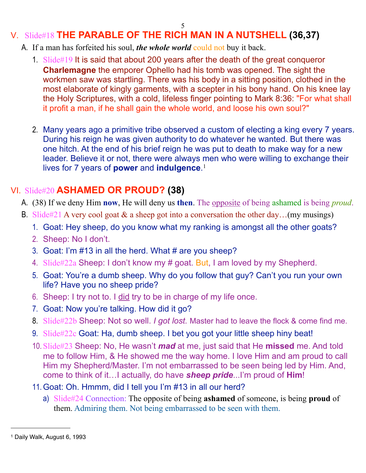## V. Slide#18 **THE PARABLE OF THE RICH MAN IN A NUTSHELL (36,37)**

- A. If a man has forfeited his soul, *the whole world* could not buy it back.
	- 1. Slide#19 It is said that about 200 years after the death of the great conqueror **Charlemagne** the emporer Ophello had his tomb was opened. The sight the workmen saw was startling. There was his body in a sitting position, clothed in the most elaborate of kingly garments, with a scepter in his bony hand. On his knee lay the Holy Scriptures, with a cold, lifeless finger pointing to Mark 8:36: "For what shall it profit a man, if he shall gain the whole world, and loose his own soul?"
	- 2. Many years ago a primitive tribe observed a custom of electing a king every 7 years. During his reign he was given authority to do whatever he wanted. But there was one hitch. At the end of his brief reign he was put to death to make way for a new leader. Believe it or not, there were always men who were willing to exchange their lives for 7 years of **power** and **indulgence**.[1](#page-4-0)

### VI. Slide#20 **ASHAMED OR PROUD? (38)**

- A. (38) If we deny Him **now**, He will deny us **then**. The opposite of being ashamed is being *proud*.
- B. Slide#21 A very cool goat  $\&$  a sheep got into a conversation the other day...(my musings)
	- 1. Goat: Hey sheep, do you know what my ranking is amongst all the other goats?
	- 2. Sheep: No I don't.
	- 3. Goat: I'm #13 in all the herd. What # are you sheep?
	- 4. Slide#22a Sheep: I don't know my # goat. But, I am loved by my Shepherd.
	- 5. Goat: You're a dumb sheep. Why do you follow that guy? Can't you run your own life? Have you no sheep pride?
	- 6. Sheep: I try not to. I did try to be in charge of my life once.
	- 7. Goat: Now you're talking. How did it go?
	- 8. Slide#22b Sheep: Not so well. *I got lost.* Master had to leave the flock & come find me.
	- 9. Slide#22c Goat: Ha, dumb sheep. I bet you got your little sheep hiny beat!
	- 10. Slide#23 Sheep: No, He wasn't *mad* at me, just said that He **missed** me. And told me to follow Him, & He showed me the way home. I love Him and am proud to call Him my Shepherd/Master. I'm not embarrassed to be seen being led by Him. And, come to think of it…I actually, do have *sheep pride*...I'm proud of **Him**!
	- 11.Goat: Oh. Hmmm, did I tell you I'm #13 in all our herd?
		- a) Slide#24 Connection: The opposite of being **ashamed** of someone, is being **proud** of them. Admiring them. Not being embarrassed to be seen with them.

<span id="page-4-0"></span><sup>1</sup> Daily Walk, August 6, 1993